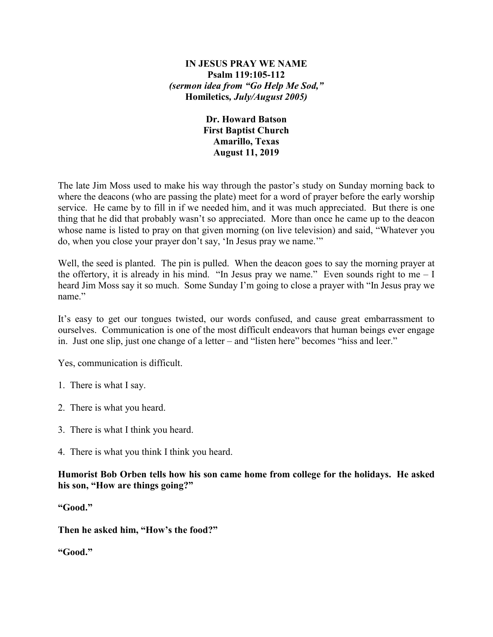## **IN JESUS PRAY WE NAME Psalm 119:105-112** *(sermon idea from "Go Help Me Sod,"*  **Homiletics***, July/August 2005)*

## **Dr. Howard Batson First Baptist Church Amarillo, Texas August 11, 2019**

The late Jim Moss used to make his way through the pastor's study on Sunday morning back to where the deacons (who are passing the plate) meet for a word of prayer before the early worship service. He came by to fill in if we needed him, and it was much appreciated. But there is one thing that he did that probably wasn't so appreciated. More than once he came up to the deacon whose name is listed to pray on that given morning (on live television) and said, "Whatever you do, when you close your prayer don't say, 'In Jesus pray we name.'"

Well, the seed is planted. The pin is pulled. When the deacon goes to say the morning prayer at the offertory, it is already in his mind. "In Jesus pray we name." Even sounds right to me  $-1$ heard Jim Moss say it so much. Some Sunday I'm going to close a prayer with "In Jesus pray we name."

It's easy to get our tongues twisted, our words confused, and cause great embarrassment to ourselves. Communication is one of the most difficult endeavors that human beings ever engage in. Just one slip, just one change of a letter – and "listen here" becomes "hiss and leer."

Yes, communication is difficult.

- 1. There is what I say.
- 2. There is what you heard.
- 3. There is what I think you heard.
- 4. There is what you think I think you heard.

**Humorist Bob Orben tells how his son came home from college for the holidays. He asked his son, "How are things going?"** 

**"Good."**

**Then he asked him, "How's the food?"**

**"Good."**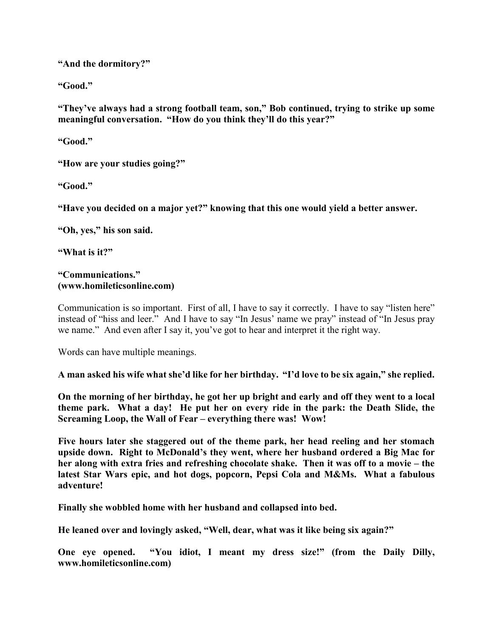**"And the dormitory?"**

**"Good."**

**"They've always had a strong football team, son," Bob continued, trying to strike up some meaningful conversation. "How do you think they'll do this year?"**

**"Good."**

**"How are your studies going?"**

**"Good."**

**"Have you decided on a major yet?" knowing that this one would yield a better answer.**

**"Oh, yes," his son said.**

**"What is it?"**

## **"Communications." (www.homileticsonline.com)**

Communication is so important. First of all, I have to say it correctly. I have to say "listen here" instead of "hiss and leer." And I have to say "In Jesus' name we pray" instead of "In Jesus pray we name." And even after I say it, you've got to hear and interpret it the right way.

Words can have multiple meanings.

**A man asked his wife what she'd like for her birthday. "I'd love to be six again," she replied.**

**On the morning of her birthday, he got her up bright and early and off they went to a local theme park. What a day! He put her on every ride in the park: the Death Slide, the Screaming Loop, the Wall of Fear – everything there was! Wow!**

**Five hours later she staggered out of the theme park, her head reeling and her stomach upside down. Right to McDonald's they went, where her husband ordered a Big Mac for her along with extra fries and refreshing chocolate shake. Then it was off to a movie – the latest Star Wars epic, and hot dogs, popcorn, Pepsi Cola and M&Ms. What a fabulous adventure!**

**Finally she wobbled home with her husband and collapsed into bed.**

**He leaned over and lovingly asked, "Well, dear, what was it like being six again?"**

**One eye opened. "You idiot, I meant my dress size!" (from the Daily Dilly, www.homileticsonline.com)**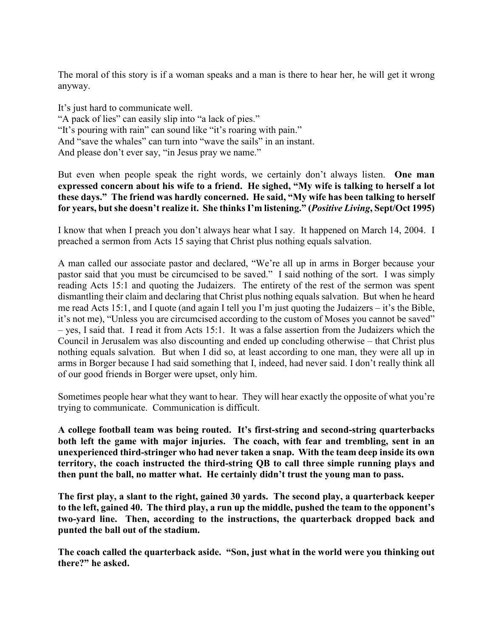The moral of this story is if a woman speaks and a man is there to hear her, he will get it wrong anyway.

It's just hard to communicate well. "A pack of lies" can easily slip into "a lack of pies." "It's pouring with rain" can sound like "it's roaring with pain." And "save the whales" can turn into "wave the sails" in an instant. And please don't ever say, "in Jesus pray we name."

But even when people speak the right words, we certainly don't always listen. **One man expressed concern about his wife to a friend. He sighed, "My wife is talking to herself a lot these days." The friend was hardly concerned. He said, "My wife has been talking to herself for years, but she doesn't realize it. She thinks I'm listening." (***Positive Living***, Sept/Oct 1995)**

I know that when I preach you don't always hear what I say. It happened on March 14, 2004. I preached a sermon from Acts 15 saying that Christ plus nothing equals salvation.

A man called our associate pastor and declared, "We're all up in arms in Borger because your pastor said that you must be circumcised to be saved." I said nothing of the sort. I was simply reading Acts 15:1 and quoting the Judaizers. The entirety of the rest of the sermon was spent dismantling their claim and declaring that Christ plus nothing equals salvation. But when he heard me read Acts 15:1, and I quote (and again I tell you I'm just quoting the Judaizers – it's the Bible, it's not me), "Unless you are circumcised according to the custom of Moses you cannot be saved" – yes, I said that. I read it from Acts 15:1. It was a false assertion from the Judaizers which the Council in Jerusalem was also discounting and ended up concluding otherwise – that Christ plus nothing equals salvation. But when I did so, at least according to one man, they were all up in arms in Borger because I had said something that I, indeed, had never said. I don't really think all of our good friends in Borger were upset, only him.

Sometimes people hear what they want to hear. They will hear exactly the opposite of what you're trying to communicate. Communication is difficult.

**A college football team was being routed. It's first-string and second-string quarterbacks both left the game with major injuries. The coach, with fear and trembling, sent in an unexperienced third-stringer who had never taken a snap. With the team deep inside its own territory, the coach instructed the third-string QB to call three simple running plays and then punt the ball, no matter what. He certainly didn't trust the young man to pass.**

**The first play, a slant to the right, gained 30 yards. The second play, a quarterback keeper to the left, gained 40. The third play, a run up the middle, pushed the team to the opponent's two-yard line. Then, according to the instructions, the quarterback dropped back and punted the ball out of the stadium.**

**The coach called the quarterback aside. "Son, just what in the world were you thinking out there?" he asked.**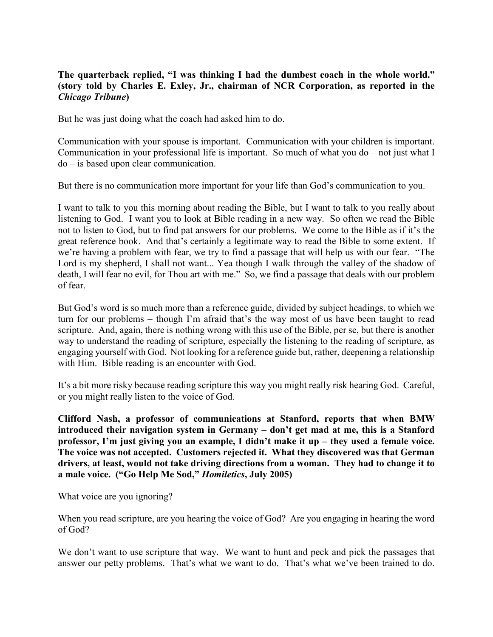## **The quarterback replied, "I was thinking I had the dumbest coach in the whole world." (story told by Charles E. Exley, Jr., chairman of NCR Corporation, as reported in the**  *Chicago Tribune***)**

But he was just doing what the coach had asked him to do.

Communication with your spouse is important. Communication with your children is important. Communication in your professional life is important. So much of what you do – not just what I do – is based upon clear communication.

But there is no communication more important for your life than God's communication to you.

I want to talk to you this morning about reading the Bible, but I want to talk to you really about listening to God. I want you to look at Bible reading in a new way. So often we read the Bible not to listen to God, but to find pat answers for our problems. We come to the Bible as if it's the great reference book. And that's certainly a legitimate way to read the Bible to some extent. If we're having a problem with fear, we try to find a passage that will help us with our fear. "The Lord is my shepherd, I shall not want... Yea though I walk through the valley of the shadow of death, I will fear no evil, for Thou art with me." So, we find a passage that deals with our problem of fear.

But God's word is so much more than a reference guide, divided by subject headings, to which we turn for our problems – though I'm afraid that's the way most of us have been taught to read scripture. And, again, there is nothing wrong with this use of the Bible, per se, but there is another way to understand the reading of scripture, especially the listening to the reading of scripture, as engaging yourself with God. Not looking for a reference guide but, rather, deepening a relationship with Him. Bible reading is an encounter with God.

It's a bit more risky because reading scripture this way you might really risk hearing God. Careful, or you might really listen to the voice of God.

**Clifford Nash, a professor of communications at Stanford, reports that when BMW introduced their navigation system in Germany – don't get mad at me, this is a Stanford professor, I'm just giving you an example, I didn't make it up – they used a female voice. The voice was not accepted. Customers rejected it. What they discovered was that German drivers, at least, would not take driving directions from a woman. They had to change it to a male voice. ("Go Help Me Sod,"** *Homiletics***, July 2005)**

What voice are you ignoring?

When you read scripture, are you hearing the voice of God? Are you engaging in hearing the word of God?

We don't want to use scripture that way. We want to hunt and peck and pick the passages that answer our petty problems. That's what we want to do. That's what we've been trained to do.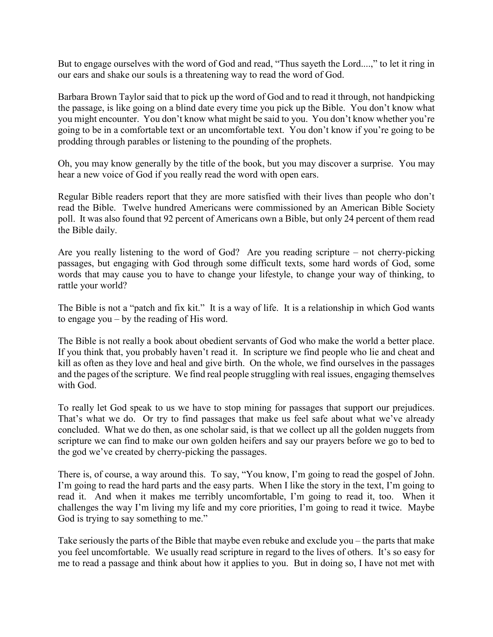But to engage ourselves with the word of God and read, "Thus sayeth the Lord....," to let it ring in our ears and shake our souls is a threatening way to read the word of God.

Barbara Brown Taylor said that to pick up the word of God and to read it through, not handpicking the passage, is like going on a blind date every time you pick up the Bible. You don't know what you might encounter. You don't know what might be said to you. You don't know whether you're going to be in a comfortable text or an uncomfortable text. You don't know if you're going to be prodding through parables or listening to the pounding of the prophets.

Oh, you may know generally by the title of the book, but you may discover a surprise. You may hear a new voice of God if you really read the word with open ears.

Regular Bible readers report that they are more satisfied with their lives than people who don't read the Bible. Twelve hundred Americans were commissioned by an American Bible Society poll. It was also found that 92 percent of Americans own a Bible, but only 24 percent of them read the Bible daily.

Are you really listening to the word of God? Are you reading scripture – not cherry-picking passages, but engaging with God through some difficult texts, some hard words of God, some words that may cause you to have to change your lifestyle, to change your way of thinking, to rattle your world?

The Bible is not a "patch and fix kit." It is a way of life. It is a relationship in which God wants to engage you – by the reading of His word.

The Bible is not really a book about obedient servants of God who make the world a better place. If you think that, you probably haven't read it. In scripture we find people who lie and cheat and kill as often as they love and heal and give birth. On the whole, we find ourselves in the passages and the pages of the scripture. We find real people struggling with real issues, engaging themselves with God.

To really let God speak to us we have to stop mining for passages that support our prejudices. That's what we do. Or try to find passages that make us feel safe about what we've already concluded. What we do then, as one scholar said, is that we collect up all the golden nuggets from scripture we can find to make our own golden heifers and say our prayers before we go to bed to the god we've created by cherry-picking the passages.

There is, of course, a way around this. To say, "You know, I'm going to read the gospel of John. I'm going to read the hard parts and the easy parts. When I like the story in the text, I'm going to read it. And when it makes me terribly uncomfortable, I'm going to read it, too. When it challenges the way I'm living my life and my core priorities, I'm going to read it twice. Maybe God is trying to say something to me."

Take seriously the parts of the Bible that maybe even rebuke and exclude you – the parts that make you feel uncomfortable. We usually read scripture in regard to the lives of others. It's so easy for me to read a passage and think about how it applies to you. But in doing so, I have not met with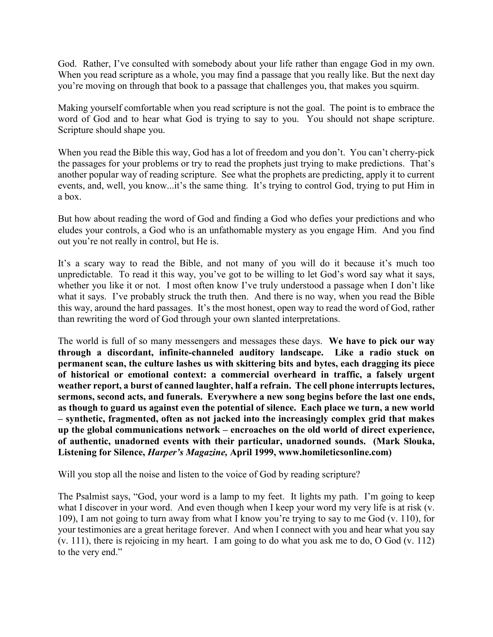God. Rather, I've consulted with somebody about your life rather than engage God in my own. When you read scripture as a whole, you may find a passage that you really like. But the next day you're moving on through that book to a passage that challenges you, that makes you squirm.

Making yourself comfortable when you read scripture is not the goal. The point is to embrace the word of God and to hear what God is trying to say to you. You should not shape scripture. Scripture should shape you.

When you read the Bible this way, God has a lot of freedom and you don't. You can't cherry-pick the passages for your problems or try to read the prophets just trying to make predictions. That's another popular way of reading scripture. See what the prophets are predicting, apply it to current events, and, well, you know...it's the same thing. It's trying to control God, trying to put Him in a box.

But how about reading the word of God and finding a God who defies your predictions and who eludes your controls, a God who is an unfathomable mystery as you engage Him. And you find out you're not really in control, but He is.

It's a scary way to read the Bible, and not many of you will do it because it's much too unpredictable. To read it this way, you've got to be willing to let God's word say what it says, whether you like it or not. I most often know I've truly understood a passage when I don't like what it says. I've probably struck the truth then. And there is no way, when you read the Bible this way, around the hard passages. It's the most honest, open way to read the word of God, rather than rewriting the word of God through your own slanted interpretations.

The world is full of so many messengers and messages these days. **We have to pick our way through a discordant, infinite-channeled auditory landscape. Like a radio stuck on permanent scan, the culture lashes us with skittering bits and bytes, each dragging its piece of historical or emotional context: a commercial overheard in traffic, a falsely urgent weather report, a burst of canned laughter, half a refrain. The cell phone interrupts lectures, sermons, second acts, and funerals. Everywhere a new song begins before the last one ends, as though to guard us against even the potential of silence. Each place we turn, a new world – synthetic, fragmented, often as not jacked into the increasingly complex grid that makes up the global communications network – encroaches on the old world of direct experience, of authentic, unadorned events with their particular, unadorned sounds. (Mark Slouka, Listening for Silence,** *Harper's Magazine,* **April 1999, www.homileticsonline.com)**

Will you stop all the noise and listen to the voice of God by reading scripture?

The Psalmist says, "God, your word is a lamp to my feet. It lights my path. I'm going to keep what I discover in your word. And even though when I keep your word my very life is at risk (v. 109), I am not going to turn away from what I know you're trying to say to me God (v. 110), for your testimonies are a great heritage forever. And when I connect with you and hear what you say (v. 111), there is rejoicing in my heart. I am going to do what you ask me to do, O God (v. 112) to the very end."